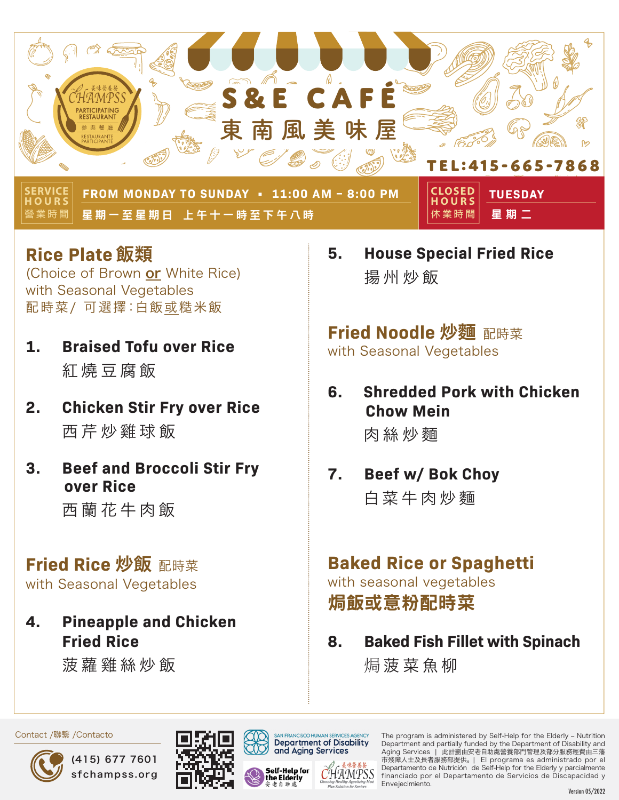

**營業時間 ERVICE HOURS FROM MONDAY TO SUNDAY • 11:00 AM – 8:00 PM TUESDAY**  星期一至星期日 上午十一時至下午八時 星期二

**休業時間 HOURS**

**Rice Plate** 飯類

(Choice of Brown or White Rice) with Seasonal Vegetables 配時菜/ 可選擇:白飯或糙米飯

- **1. Braised Tofu over Rice** 紅燒豆腐飯
- **2. Chicken Stir Fry over Rice** 西芹炒雞球飯
- **3. Beef and Broccoli Stir Fry over Rice**

西蘭花牛肉飯

### **Fried Rice** 炒飯 配時菜

with Seasonal Vegetables

**4. Pineapple and Chicken Fried Rice**

菠蘿雞絲炒飯

**5. House Special Fried Rice** 揚州炒飯

# **Fried Noodle** 炒麵 配時菜

with Seasonal Vegetables

**6. Shredded Pork with Chicken Chow Mein**

肉絲炒麵

### **7. Beef w/ Bok Choy** 白菜牛肉炒麵

# **Baked Rice or Spaghetti**

with seasonal vegetables 焗飯或意粉配時菜

**8. Baked Fish Fillet with Spinach** 焗 菠菜魚柳











The program is administered by Self-Help for the Elderly – Nutrition Department and partially funded by the Department of Disability and Aging Services | 此計劃由安老自助處營養部門管理及部分服務經費由三藩 市殘障人士及長者服務部提供。 | El programa es administrado por el Departamento de Nutrición de Self-Help for the Elderly y parcialmente financiado por el Departamento de Servicios de Discapacidad y Envejecimiento.